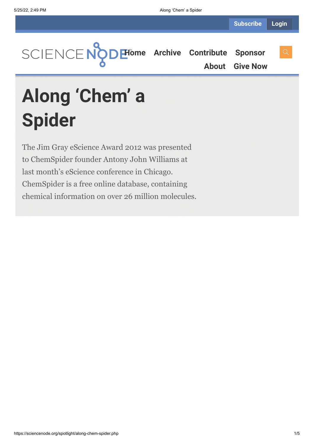**[Home](https://sciencenode.org/) [Archive](https://sciencenode.org/archive/index.php) [Contribute](https://sciencenode.org/contribute/index.php) [Sponsor](https://sciencenode.org/sponsor/index.php)**

**[About](https://sciencenode.org/about/index.php) [Give Now](https://sciencenode.org/donate/index.php)**

**Along 'Chem' a Spider**

The Jim Gray eScience Award 2012 was presented to ChemSpider founder Antony John Williams at last month's eScience conference in Chicago. ChemSpider is a free online database, containing chemical information on over 26 million molecules.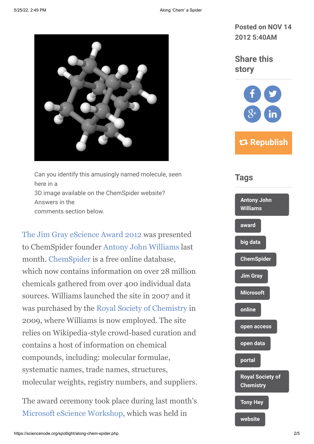

Can you identify this amusingly named molecule, seen here in a 3D image available on the ChemSpider website? Answers in the comments section below.

[The Jim Gray eScience Award 2012](http://blogs.msdn.com/b/msr_er/archive/2012/10/10/2012-jim-gray-award-honors-antony-john-williams.aspx) was presented to ChemSpider founder [Antony John Williams](http://www.google.ch/url?sa=t&rct=j&q=&esrc=s&source=web&cd=1&cad=rja&ved=0CCIQFjAA&url=http%3A%2F%2Fen.wikipedia.org%2Fwiki%2FAntony_John_Williams&ei=SS6ZUM6UMYXNswbB9YGABw&usg=AFQjCNGI-W3zlTz3HcK8zoM1_X7HpjoM_w) last month. [ChemSpider](http://www.google.ch/url?sa=t&rct=j&q=&esrc=s&source=web&cd=1&cad=rja&ved=0CCAQFjAA&url=http%3A%2F%2Fwww.chemspider.com%2F&ei=WC6ZUIKvL83BtAaqkYGYBA&usg=AFQjCNFCEZvV46N8dUgPscWaXLzjVy3WOA) is a free online database, which now contains information on over 28 million chemicals gathered from over 400 individual data sources. Williams launched the site in 2007 and it was purchased by the [Royal Society of Chemistry](http://www.google.ch/url?sa=t&rct=j&q=&esrc=s&source=web&cd=1&cad=rja&ved=0CCAQFjAA&url=http%3A%2F%2Fwww.rsc.org%2F&ei=fS6ZUK23BcXJtAbI1IGwAQ&usg=AFQjCNFIaNiK4rJxO8XbwHGX1bFHM4f2Jg) in 2009, where Williams is now employed. The site relies on Wikipedia-style crowd-based curation and contains a host of information on chemical compounds, including: molecular formulae, systematic names, trade names, structures, molecular weights, registry numbers, and suppliers.

The award ceremony took place during last month's [Microsoft eScience Workshop](http://research.microsoft.com/en-us/events/escience2012/), which was held in

**Share this story**



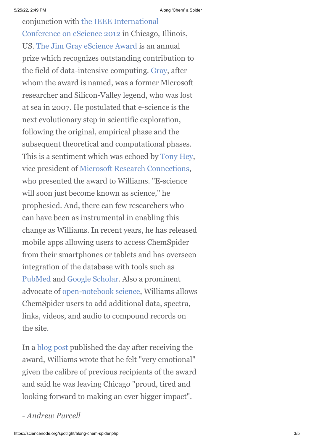[conjunction with the IEEE International](http://www.ci.uchicago.edu/escience2012/) Conference on eScience 2012 in Chicago, Illinois, US. [The Jim Gray eScience Award](http://research.microsoft.com/en-us/collaboration/focus/escience/jim-gray-award.aspx) is an annual prize which recognizes outstanding contribution to the field of data-intensive computing. [Gray](http://www.google.ch/url?sa=t&rct=j&q=&esrc=s&source=web&cd=1&cad=rja&ved=0CCMQFjAA&url=http%3A%2F%2Fen.wikipedia.org%2Fwiki%2FJim_Gray_(computer_scientist)&ei=xS6ZUM27HcTYtAaAgIHoBA&usg=AFQjCNFN30BDQDD4YtOyfJhvK8I1rgAp4A), after whom the award is named, was a former Microsoft researcher and Silicon-Valley legend, who was lost at sea in 2007. He postulated that e-science is the next evolutionary step in scientific exploration, following the original, empirical phase and the subsequent theoretical and computational phases. This is a sentiment which was echoed by [Tony Hey](http://en.wikipedia.org/wiki/Tony_Hey), vice president of [Microsoft Research Connections](http://www.google.ch/url?sa=t&rct=j&q=&esrc=s&source=web&cd=1&cad=rja&ved=0CCAQFjAA&url=http%3A%2F%2Fresearch.microsoft.com%2Fen-us%2Fcollaboration%2F&ei=_C6ZUISuAtDKswbk24DwCw&usg=AFQjCNGsGekQtSKi1JfDraMqncfQLseGjQ), who presented the award to Williams. "E-science will soon just become known as science," he prophesied. And, there can few researchers who can have been as instrumental in enabling this change as Williams. In recent years, he has released mobile apps allowing users to access ChemSpider from their smartphones or tablets and has overseen integration of the database with tools such as [PubMed](http://www.ncbi.nlm.nih.gov/pubmed) and [Google Scholar.](http://scholar.google.com/) Also a prominent advocate of [open-notebook science](http://www.google.ch/url?sa=t&rct=j&q=&esrc=s&source=web&cd=1&cad=rja&ved=0CCIQFjAA&url=http%3A%2F%2Fen.wikipedia.org%2Fwiki%2FOpen_notebook_science&ei=p0iZUJ3dB8natAa0ioGgBA&usg=AFQjCNFCBRipk-ScY2eYWVgJhhzCq7MoKw), Williams allows ChemSpider users to add additional data, spectra, links, videos, and audio to compound records on the site.

In a [blog post](http://www.chemconnector.com/2012/10/10/honored-to-be-a-recipient-of-the-jim-gray-escience-award-from-microsoft-research/) published the day after receiving the award, Williams wrote that he felt "very emotional" given the calibre of previous recipients of the award and said he was leaving Chicago "proud, tired and looking forward to making an ever bigger impact".

*- Andrew Purcell*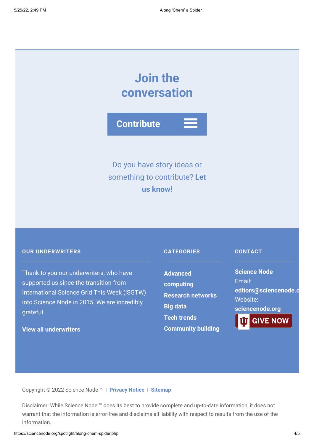# **Join the conversation**

**Contribute**

# Do you have story ideas or something to contribute? **Let us know!**

## **OUR UNDERWRITERS**

Thank to you our underwriters, who have supported us since the transition from International Science Grid This Week (iSGTW) into Science Node in 2015. We are incredibly grateful.

# **[View all underwriters](https://sciencenode.org/about/index.php)**

## **CATEGORIES**

**Advanced [computing](https://sciencenode.org/archive/?year=2016&category=Advanced%20computing) [Research networks](https://sciencenode.org/archive/?year=2016&category=Advanced%20computing&category=Research%20networks) [Big data](https://sciencenode.org/archive/?year=2016&category=Advanced%20computing&category=Research%20networks&category=Big%20data) [Tech trends](https://sciencenode.org/archive/?year=2016&category=Advanced%20computing&category=Research%20networks&category=Big%20data&category=Tech%20trends) [Community building](https://sciencenode.org/archive/?year=2016&category=Advanced%20computing&category=Research%20networks&category=Big%20data&category=Tech%20trends&category=Community%20building)**

#### **CONTACT**

**Science Node** Email: **[editors@sciencenode.o](mailto:edit%6F%72s@s%63%69encenode.%6F%72%67)** Website: **[sciencenode.org](https://sciencenode.org/) GIVE NOW** 

Copyright © 2022 Science Node ™ | **[Privacy Notice](https://sciencenode.org/privacy/index.php)** | **[Sitemap](https://sciencenode.org/sitemap/index.php)**

Disclaimer: While Science Node ™ does its best to provide complete and up-to-date information, it does not warrant that the information is error-free and disclaims all liability with respect to results from the use of the information.